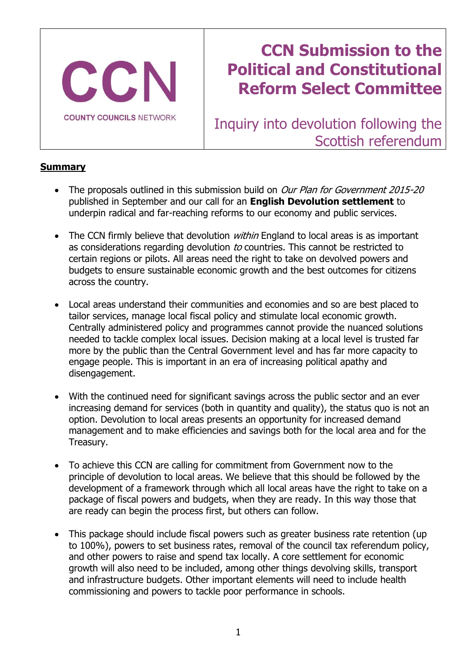

# **CCN Submission to the Political and Constitutional Reform Select Committee**

Inquiry into devolution following the Scottish referendum

## **Summary**

- The proposals outlined in this submission build on *Our Plan for Government 2015-20* published in September and our call for an **English Devolution settlement** to underpin radical and far-reaching reforms to our economy and public services.
- The CCN firmly believe that devolution *within* England to local areas is as important as considerations regarding devolution to countries. This cannot be restricted to certain regions or pilots. All areas need the right to take on devolved powers and budgets to ensure sustainable economic growth and the best outcomes for citizens across the country.
- Local areas understand their communities and economies and so are best placed to tailor services, manage local fiscal policy and stimulate local economic growth. Centrally administered policy and programmes cannot provide the nuanced solutions needed to tackle complex local issues. Decision making at a local level is trusted far more by the public than the Central Government level and has far more capacity to engage people. This is important in an era of increasing political apathy and disengagement.
- With the continued need for significant savings across the public sector and an ever increasing demand for services (both in quantity and quality), the status quo is not an option. Devolution to local areas presents an opportunity for increased demand management and to make efficiencies and savings both for the local area and for the Treasury.
- To achieve this CCN are calling for commitment from Government now to the principle of devolution to local areas. We believe that this should be followed by the development of a framework through which all local areas have the right to take on a package of fiscal powers and budgets, when they are ready. In this way those that are ready can begin the process first, but others can follow.
- This package should include fiscal powers such as greater business rate retention (up to 100%), powers to set business rates, removal of the council tax referendum policy, and other powers to raise and spend tax locally. A core settlement for economic growth will also need to be included, among other things devolving skills, transport and infrastructure budgets. Other important elements will need to include health commissioning and powers to tackle poor performance in schools.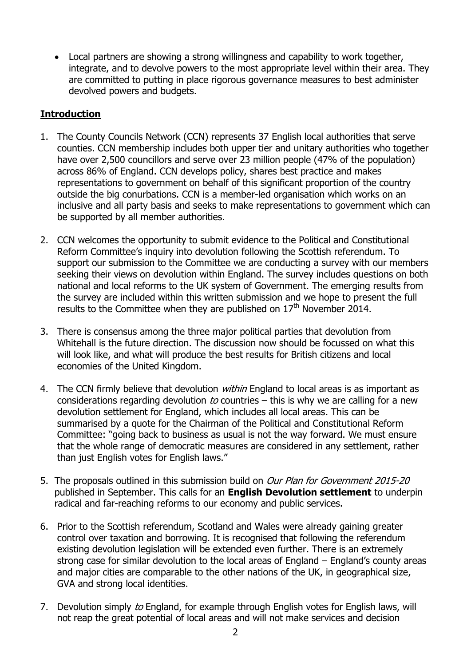Local partners are showing a strong willingness and capability to work together, integrate, and to devolve powers to the most appropriate level within their area. They are committed to putting in place rigorous governance measures to best administer devolved powers and budgets.

# **Introduction**

- 1. The County Councils Network (CCN) represents 37 English local authorities that serve counties. CCN membership includes both upper tier and unitary authorities who together have over 2,500 councillors and serve over 23 million people (47% of the population) across 86% of England. CCN develops policy, shares best practice and makes representations to government on behalf of this significant proportion of the country outside the big conurbations. CCN is a member-led organisation which works on an inclusive and all party basis and seeks to make representations to government which can be supported by all member authorities.
- 2. CCN welcomes the opportunity to submit evidence to the Political and Constitutional Reform Committee's inquiry into devolution following the Scottish referendum. To support our submission to the Committee we are conducting a survey with our members seeking their views on devolution within England. The survey includes questions on both national and local reforms to the UK system of Government. The emerging results from the survey are included within this written submission and we hope to present the full results to the Committee when they are published on  $17<sup>th</sup>$  November 2014.
- 3. There is consensus among the three major political parties that devolution from Whitehall is the future direction. The discussion now should be focussed on what this will look like, and what will produce the best results for British citizens and local economies of the United Kingdom.
- 4. The CCN firmly believe that devolution *within* England to local areas is as important as considerations regarding devolution to countries  $-$  this is why we are calling for a new devolution settlement for England, which includes all local areas. This can be summarised by a quote for the Chairman of the Political and Constitutional Reform Committee: "going back to business as usual is not the way forward. We must ensure that the whole range of democratic measures are considered in any settlement, rather than just English votes for English laws."
- 5. The proposals outlined in this submission build on *Our Plan for Government 2015-20* published in September. This calls for an **English Devolution settlement** to underpin radical and far-reaching reforms to our economy and public services.
- 6. Prior to the Scottish referendum, Scotland and Wales were already gaining greater control over taxation and borrowing. It is recognised that following the referendum existing devolution legislation will be extended even further. There is an extremely strong case for similar devolution to the local areas of England – England's county areas and major cities are comparable to the other nations of the UK, in geographical size, GVA and strong local identities.
- 7. Devolution simply to England, for example through English votes for English laws, will not reap the great potential of local areas and will not make services and decision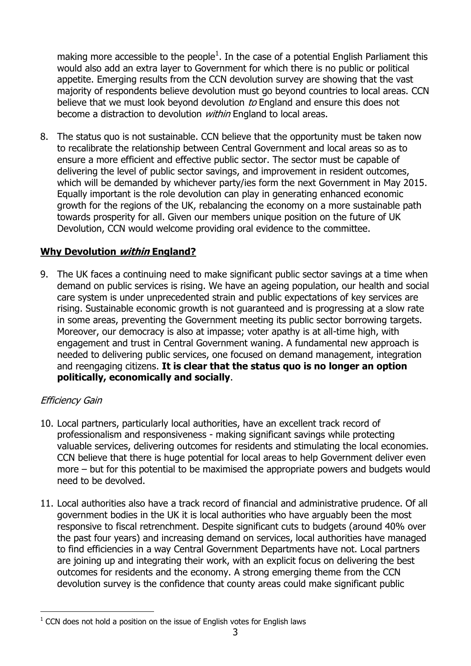making more accessible to the people<sup>1</sup>. In the case of a potential English Parliament this would also add an extra layer to Government for which there is no public or political appetite. Emerging results from the CCN devolution survey are showing that the vast majority of respondents believe devolution must go beyond countries to local areas. CCN believe that we must look beyond devolution to England and ensure this does not become a distraction to devolution *within* England to local areas.

8. The status quo is not sustainable. CCN believe that the opportunity must be taken now to recalibrate the relationship between Central Government and local areas so as to ensure a more efficient and effective public sector. The sector must be capable of delivering the level of public sector savings, and improvement in resident outcomes, which will be demanded by whichever party/ies form the next Government in May 2015. Equally important is the role devolution can play in generating enhanced economic growth for the regions of the UK, rebalancing the economy on a more sustainable path towards prosperity for all. Given our members unique position on the future of UK Devolution, CCN would welcome providing oral evidence to the committee.

## **Why Devolution within England?**

9. The UK faces a continuing need to make significant public sector savings at a time when demand on public services is rising. We have an ageing population, our health and social care system is under unprecedented strain and public expectations of key services are rising. Sustainable economic growth is not guaranteed and is progressing at a slow rate in some areas, preventing the Government meeting its public sector borrowing targets. Moreover, our democracy is also at impasse; voter apathy is at all-time high, with engagement and trust in Central Government waning. A fundamental new approach is needed to delivering public services, one focused on demand management, integration and reengaging citizens. **It is clear that the status quo is no longer an option politically, economically and socially**.

### Efficiency Gain

-

- 10. Local partners, particularly local authorities, have an excellent track record of professionalism and responsiveness - making significant savings while protecting valuable services, delivering outcomes for residents and stimulating the local economies. CCN believe that there is huge potential for local areas to help Government deliver even more – but for this potential to be maximised the appropriate powers and budgets would need to be devolved.
- 11. Local authorities also have a track record of financial and administrative prudence. Of all government bodies in the UK it is local authorities who have arguably been the most responsive to fiscal retrenchment. Despite significant cuts to budgets (around 40% over the past four years) and increasing demand on services, local authorities have managed to find efficiencies in a way Central Government Departments have not. Local partners are joining up and integrating their work, with an explicit focus on delivering the best outcomes for residents and the economy. A strong emerging theme from the CCN devolution survey is the confidence that county areas could make significant public

 $1$  CCN does not hold a position on the issue of English votes for English laws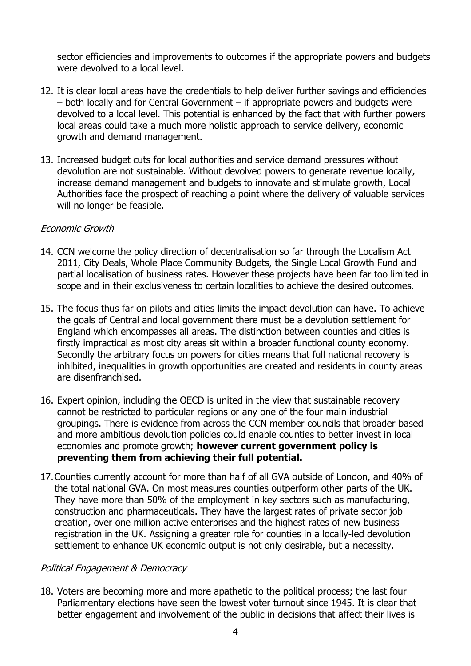sector efficiencies and improvements to outcomes if the appropriate powers and budgets were devolved to a local level.

- 12. It is clear local areas have the credentials to help deliver further savings and efficiencies – both locally and for Central Government – if appropriate powers and budgets were devolved to a local level. This potential is enhanced by the fact that with further powers local areas could take a much more holistic approach to service delivery, economic growth and demand management.
- 13. Increased budget cuts for local authorities and service demand pressures without devolution are not sustainable. Without devolved powers to generate revenue locally, increase demand management and budgets to innovate and stimulate growth, Local Authorities face the prospect of reaching a point where the delivery of valuable services will no longer be feasible.

#### Economic Growth

- 14. CCN welcome the policy direction of decentralisation so far through the Localism Act 2011, City Deals, Whole Place Community Budgets, the Single Local Growth Fund and partial localisation of business rates. However these projects have been far too limited in scope and in their exclusiveness to certain localities to achieve the desired outcomes.
- 15. The focus thus far on pilots and cities limits the impact devolution can have. To achieve the goals of Central and local government there must be a devolution settlement for England which encompasses all areas. The distinction between counties and cities is firstly impractical as most city areas sit within a broader functional county economy. Secondly the arbitrary focus on powers for cities means that full national recovery is inhibited, inequalities in growth opportunities are created and residents in county areas are disenfranchised.
- 16. Expert opinion, including the OECD is united in the view that sustainable recovery cannot be restricted to particular regions or any one of the four main industrial groupings. There is evidence from across the CCN member councils that broader based and more ambitious devolution policies could enable counties to better invest in local economies and promote growth; **however current government policy is preventing them from achieving their full potential.**
- 17.Counties currently account for more than half of all GVA outside of London, and 40% of the total national GVA. On most measures counties outperform other parts of the UK. They have more than 50% of the employment in key sectors such as manufacturing, construction and pharmaceuticals. They have the largest rates of private sector job creation, over one million active enterprises and the highest rates of new business registration in the UK. Assigning a greater role for counties in a locally-led devolution settlement to enhance UK economic output is not only desirable, but a necessity.

#### Political Engagement & Democracy

18. Voters are becoming more and more apathetic to the political process; the last four Parliamentary elections have seen the lowest voter turnout since 1945. It is clear that better engagement and involvement of the public in decisions that affect their lives is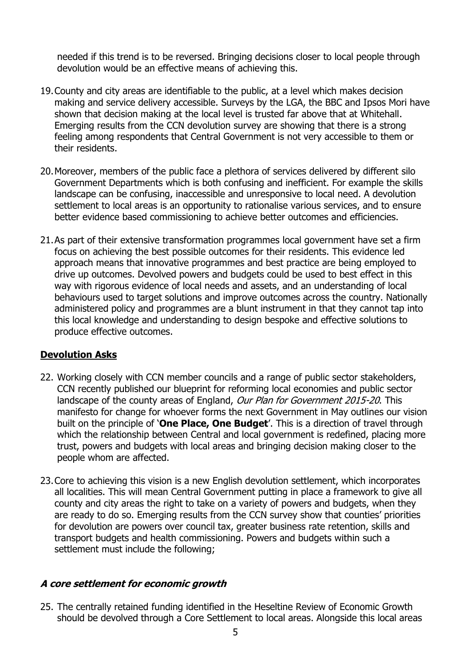needed if this trend is to be reversed. Bringing decisions closer to local people through devolution would be an effective means of achieving this.

- 19.County and city areas are identifiable to the public, at a level which makes decision making and service delivery accessible. Surveys by the LGA, the BBC and Ipsos Mori have shown that decision making at the local level is trusted far above that at Whitehall. Emerging results from the CCN devolution survey are showing that there is a strong feeling among respondents that Central Government is not very accessible to them or their residents.
- 20.Moreover, members of the public face a plethora of services delivered by different silo Government Departments which is both confusing and inefficient. For example the skills landscape can be confusing, inaccessible and unresponsive to local need. A devolution settlement to local areas is an opportunity to rationalise various services, and to ensure better evidence based commissioning to achieve better outcomes and efficiencies.
- 21.As part of their extensive transformation programmes local government have set a firm focus on achieving the best possible outcomes for their residents. This evidence led approach means that innovative programmes and best practice are being employed to drive up outcomes. Devolved powers and budgets could be used to best effect in this way with rigorous evidence of local needs and assets, and an understanding of local behaviours used to target solutions and improve outcomes across the country. Nationally administered policy and programmes are a blunt instrument in that they cannot tap into this local knowledge and understanding to design bespoke and effective solutions to produce effective outcomes.

### **Devolution Asks**

- 22. Working closely with CCN member councils and a range of public sector stakeholders, CCN recently published our blueprint for reforming local economies and public sector landscape of the county areas of England, Our Plan for Government 2015-20. This manifesto for change for whoever forms the next Government in May outlines our vision built on the principle of '**One Place, One Budget**'. This is a direction of travel through which the relationship between Central and local government is redefined, placing more trust, powers and budgets with local areas and bringing decision making closer to the people whom are affected.
- 23.Core to achieving this vision is a new English devolution settlement, which incorporates all localities. This will mean Central Government putting in place a framework to give all county and city areas the right to take on a variety of powers and budgets, when they are ready to do so. Emerging results from the CCN survey show that counties' priorities for devolution are powers over council tax, greater business rate retention, skills and transport budgets and health commissioning. Powers and budgets within such a settlement must include the following;

#### **A core settlement for economic growth**

25. The centrally retained funding identified in the Heseltine Review of Economic Growth should be devolved through a Core Settlement to local areas. Alongside this local areas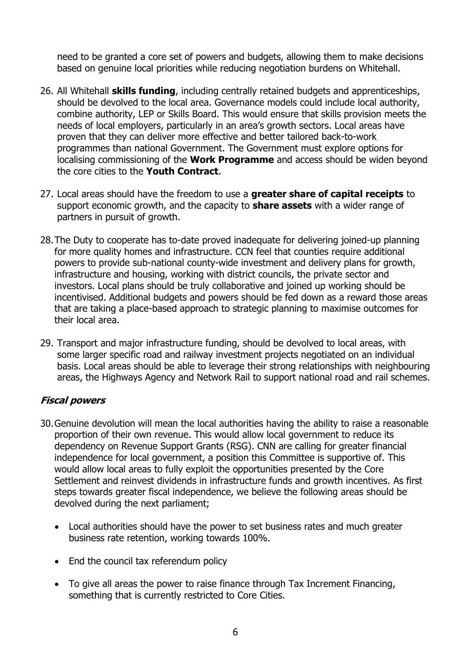need to be granted a core set of powers and budgets, allowing them to make decisions based on genuine local priorities while reducing negotiation burdens on Whitehall.

- 26. All Whitehall **skills funding**, including centrally retained budgets and apprenticeships, should be devolved to the local area. Governance models could include local authority, combine authority, LEP or Skills Board. This would ensure that skills provision meets the needs of local employers, particularly in an area's growth sectors. Local areas have proven that they can deliver more effective and better tailored back-to-work programmes than national Government. The Government must explore options for localising commissioning of the **Work Programme** and access should be widen beyond the core cities to the **Youth Contract**.
- 27. Local areas should have the freedom to use a **greater share of capital receipts** to support economic growth, and the capacity to **share assets** with a wider range of partners in pursuit of growth.
- 28.The Duty to cooperate has to-date proved inadequate for delivering joined-up planning for more quality homes and infrastructure. CCN feel that counties require additional powers to provide sub-national county-wide investment and delivery plans for growth, infrastructure and housing, working with district councils, the private sector and investors. Local plans should be truly collaborative and joined up working should be incentivised. Additional budgets and powers should be fed down as a reward those areas that are taking a place-based approach to strategic planning to maximise outcomes for their local area.
- 29. Transport and major infrastructure funding, should be devolved to local areas, with some larger specific road and railway investment projects negotiated on an individual basis. Local areas should be able to leverage their strong relationships with neighbouring areas, the Highways Agency and Network Rail to support national road and rail schemes.

# **Fiscal powers**

- 30.Genuine devolution will mean the local authorities having the ability to raise a reasonable proportion of their own revenue. This would allow local government to reduce its dependency on Revenue Support Grants (RSG). CNN are calling for greater financial independence for local government, a position this Committee is supportive of. This would allow local areas to fully exploit the opportunities presented by the Core Settlement and reinvest dividends in infrastructure funds and growth incentives. As first steps towards greater fiscal independence, we believe the following areas should be devolved during the next parliament;
	- Local authorities should have the power to set business rates and much greater business rate retention, working towards 100%.
	- End the council tax referendum policy
	- To give all areas the power to raise finance through Tax Increment Financing, something that is currently restricted to Core Cities.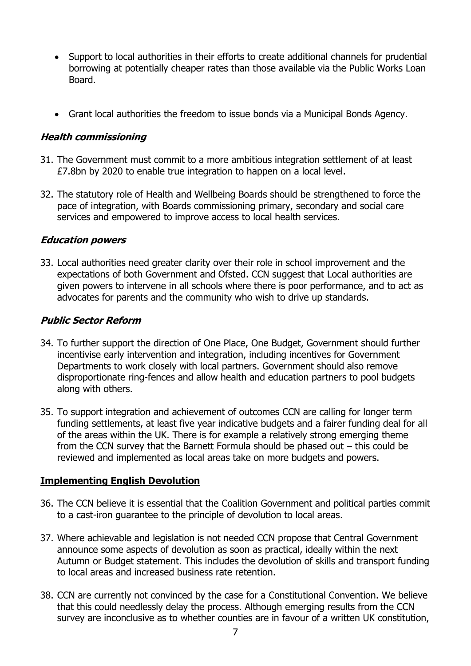- Support to local authorities in their efforts to create additional channels for prudential borrowing at potentially cheaper rates than those available via the Public Works Loan Board.
- Grant local authorities the freedom to issue bonds via a Municipal Bonds Agency.

## **Health commissioning**

- 31. The Government must commit to a more ambitious integration settlement of at least £7.8bn by 2020 to enable true integration to happen on a local level.
- 32. The statutory role of Health and Wellbeing Boards should be strengthened to force the pace of integration, with Boards commissioning primary, secondary and social care services and empowered to improve access to local health services.

### **Education powers**

33. Local authorities need greater clarity over their role in school improvement and the expectations of both Government and Ofsted. CCN suggest that Local authorities are given powers to intervene in all schools where there is poor performance, and to act as advocates for parents and the community who wish to drive up standards.

# **Public Sector Reform**

- 34. To further support the direction of One Place, One Budget, Government should further incentivise early intervention and integration, including incentives for Government Departments to work closely with local partners. Government should also remove disproportionate ring-fences and allow health and education partners to pool budgets along with others.
- 35. To support integration and achievement of outcomes CCN are calling for longer term funding settlements, at least five year indicative budgets and a fairer funding deal for all of the areas within the UK. There is for example a relatively strong emerging theme from the CCN survey that the Barnett Formula should be phased out – this could be reviewed and implemented as local areas take on more budgets and powers.

# **Implementing English Devolution**

- 36. The CCN believe it is essential that the Coalition Government and political parties commit to a cast-iron guarantee to the principle of devolution to local areas.
- 37. Where achievable and legislation is not needed CCN propose that Central Government announce some aspects of devolution as soon as practical, ideally within the next Autumn or Budget statement. This includes the devolution of skills and transport funding to local areas and increased business rate retention.
- 38. CCN are currently not convinced by the case for a Constitutional Convention. We believe that this could needlessly delay the process. Although emerging results from the CCN survey are inconclusive as to whether counties are in favour of a written UK constitution,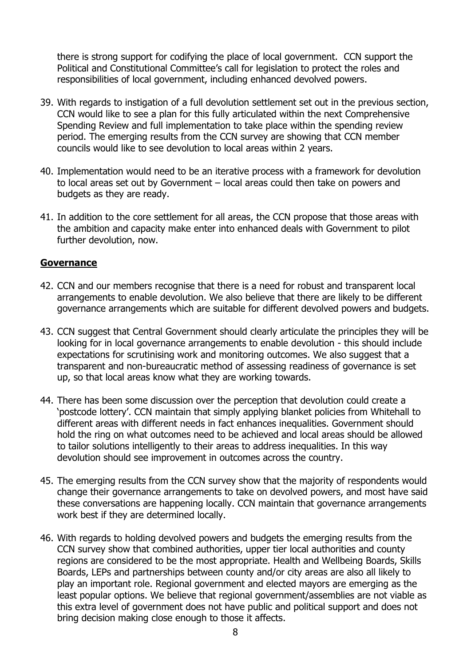there is strong support for codifying the place of local government. CCN support the Political and Constitutional Committee's call for legislation to protect the roles and responsibilities of local government, including enhanced devolved powers.

- 39. With regards to instigation of a full devolution settlement set out in the previous section, CCN would like to see a plan for this fully articulated within the next Comprehensive Spending Review and full implementation to take place within the spending review period. The emerging results from the CCN survey are showing that CCN member councils would like to see devolution to local areas within 2 years.
- 40. Implementation would need to be an iterative process with a framework for devolution to local areas set out by Government – local areas could then take on powers and budgets as they are ready.
- 41. In addition to the core settlement for all areas, the CCN propose that those areas with the ambition and capacity make enter into enhanced deals with Government to pilot further devolution, now.

### **Governance**

- 42. CCN and our members recognise that there is a need for robust and transparent local arrangements to enable devolution. We also believe that there are likely to be different governance arrangements which are suitable for different devolved powers and budgets.
- 43. CCN suggest that Central Government should clearly articulate the principles they will be looking for in local governance arrangements to enable devolution - this should include expectations for scrutinising work and monitoring outcomes. We also suggest that a transparent and non-bureaucratic method of assessing readiness of governance is set up, so that local areas know what they are working towards.
- 44. There has been some discussion over the perception that devolution could create a 'postcode lottery'. CCN maintain that simply applying blanket policies from Whitehall to different areas with different needs in fact enhances inequalities. Government should hold the ring on what outcomes need to be achieved and local areas should be allowed to tailor solutions intelligently to their areas to address inequalities. In this way devolution should see improvement in outcomes across the country.
- 45. The emerging results from the CCN survey show that the majority of respondents would change their governance arrangements to take on devolved powers, and most have said these conversations are happening locally. CCN maintain that governance arrangements work best if they are determined locally.
- 46. With regards to holding devolved powers and budgets the emerging results from the CCN survey show that combined authorities, upper tier local authorities and county regions are considered to be the most appropriate. Health and Wellbeing Boards, Skills Boards, LEPs and partnerships between county and/or city areas are also all likely to play an important role. Regional government and elected mayors are emerging as the least popular options. We believe that regional government/assemblies are not viable as this extra level of government does not have public and political support and does not bring decision making close enough to those it affects.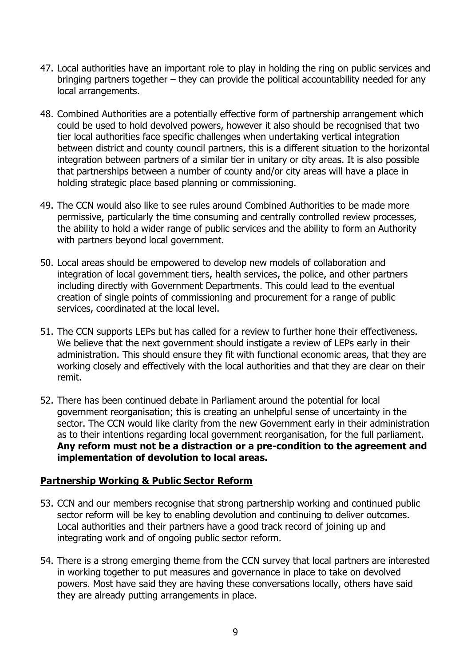- 47. Local authorities have an important role to play in holding the ring on public services and bringing partners together – they can provide the political accountability needed for any local arrangements.
- 48. Combined Authorities are a potentially effective form of partnership arrangement which could be used to hold devolved powers, however it also should be recognised that two tier local authorities face specific challenges when undertaking vertical integration between district and county council partners, this is a different situation to the horizontal integration between partners of a similar tier in unitary or city areas. It is also possible that partnerships between a number of county and/or city areas will have a place in holding strategic place based planning or commissioning.
- 49. The CCN would also like to see rules around Combined Authorities to be made more permissive, particularly the time consuming and centrally controlled review processes, the ability to hold a wider range of public services and the ability to form an Authority with partners beyond local government.
- 50. Local areas should be empowered to develop new models of collaboration and integration of local government tiers, health services, the police, and other partners including directly with Government Departments. This could lead to the eventual creation of single points of commissioning and procurement for a range of public services, coordinated at the local level.
- 51. The CCN supports LEPs but has called for a review to further hone their effectiveness. We believe that the next government should instigate a review of LEPs early in their administration. This should ensure they fit with functional economic areas, that they are working closely and effectively with the local authorities and that they are clear on their remit.
- 52. There has been continued debate in Parliament around the potential for local government reorganisation; this is creating an unhelpful sense of uncertainty in the sector. The CCN would like clarity from the new Government early in their administration as to their intentions regarding local government reorganisation, for the full parliament. **Any reform must not be a distraction or a pre-condition to the agreement and implementation of devolution to local areas.**

### **Partnership Working & Public Sector Reform**

- 53. CCN and our members recognise that strong partnership working and continued public sector reform will be key to enabling devolution and continuing to deliver outcomes. Local authorities and their partners have a good track record of joining up and integrating work and of ongoing public sector reform.
- 54. There is a strong emerging theme from the CCN survey that local partners are interested in working together to put measures and governance in place to take on devolved powers. Most have said they are having these conversations locally, others have said they are already putting arrangements in place.